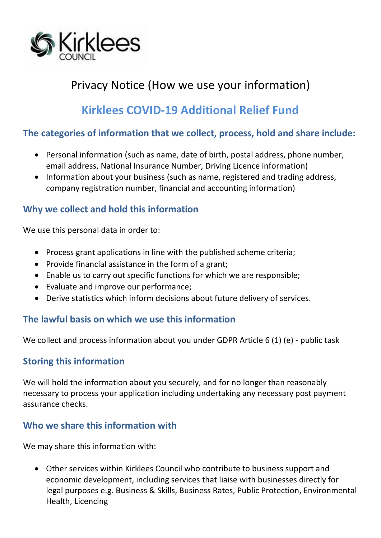

# Privacy Notice (How we use your information)

## **Kirklees COVID-19 Additional Relief Fund**

#### **The categories of information that we collect, process, hold and share include:**

- Personal information (such as name, date of birth, postal address, phone number, email address, National Insurance Number, Driving Licence information)
- Information about your business (such as name, registered and trading address, company registration number, financial and accounting information)

### **Why we collect and hold this information**

We use this personal data in order to:

- Process grant applications in line with the published scheme criteria;
- Provide financial assistance in the form of a grant;
- Enable us to carry out specific functions for which we are responsible;
- Evaluate and improve our performance;
- Derive statistics which inform decisions about future delivery of services.

#### **The lawful basis on which we use this information**

We collect and process information about you under GDPR Article 6 (1) (e) - public task

#### **Storing this information**

We will hold the information about you securely, and for no longer than reasonably necessary to process your application including undertaking any necessary post payment assurance checks.

#### **Who we share this information with**

We may share this information with:

• Other services within Kirklees Council who contribute to business support and economic development, including services that liaise with businesses directly for legal purposes e.g. Business & Skills, Business Rates, Public Protection, Environmental Health, Licencing